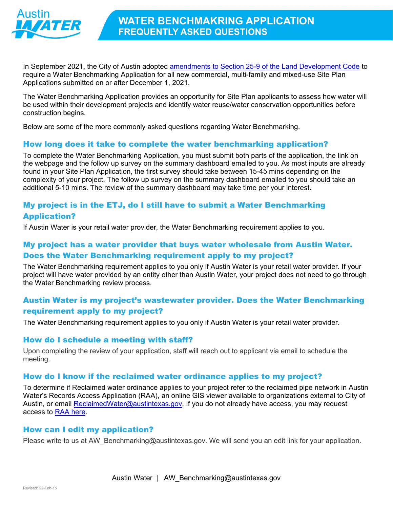

In September 2021, the City of Austin adopted amendments to Section 25-9 of the Land Development Code to require a Water Benchmarking Application for all new commercial, multi-family and mixed-use Site Plan Applications submitted on or after December 1, 2021.

The Water Benchmarking Application provides an opportunity for Site Plan applicants to assess how water will be used within their development projects and identify water reuse/water conservation opportunities before construction begins.

Below are some of the more commonly asked questions regarding Water Benchmarking.

## How long does it take to complete the water benchmarking application?

To complete the Water Benchmarking Application, you must submit both parts of the application, the link on the webpage and the follow up survey on the summary dashboard emailed to you. As most inputs are already found in your Site Plan Application, the first survey should take between 15-45 mins depending on the complexity of your project. The follow up survey on the summary dashboard emailed to you should take an additional 5-10 mins. The review of the summary dashboard may take time per your interest.

# My project is in the ETJ, do I still have to submit a Water Benchmarking Application?

If Austin Water is your retail water provider, the Water Benchmarking requirement applies to you.

# My project has a water provider that buys water wholesale from Austin Water. Does the Water Benchmarking requirement apply to my project?

The Water Benchmarking requirement applies to you only if Austin Water is your retail water provider. If your project will have water provided by an entity other than Austin Water, your project does not need to go through the Water Benchmarking review process.

## Austin Water is my project's wastewater provider. Does the Water Benchmarking requirement apply to my project?

The Water Benchmarking requirement applies to you only if Austin Water is your retail water provider.

#### How do I schedule a meeting with staff?

Upon completing the review of your application, staff will reach out to applicant via email to schedule the meeting.

#### How do I know if the reclaimed water ordinance applies to my project?

To determine if Reclaimed water ordinance applies to your project refer to the reclaimed pipe network in Austin Water's Records Access Application (RAA), an online GIS viewer available to organizations external to City of Austin, or email ReclaimedWater@austintexas.gov. If you do not already have access, you may request access to RAA here.

#### How can I edit my application?

Please write to us at AW\_Benchmarking@austintexas.gov. We will send you an edit link for your application.